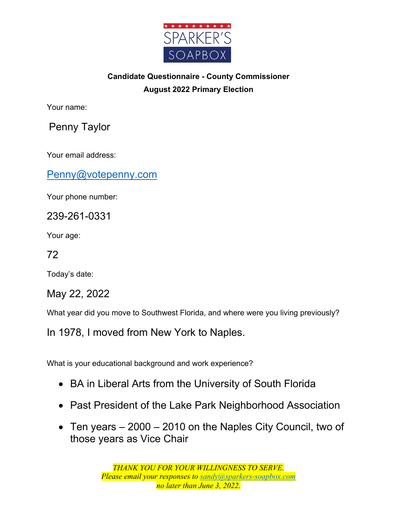

## **Candidate Questionnaire - County Commissioner August 2022 Primary Election**

Your name:

Penny Taylor

Your email address:

Penny@votepenny.com

Your phone number:

239-261-0331

Your age:

72

Today's date:

May 22, 2022

What year did you move to Southwest Florida, and where were you living previously?

In 1978, I moved from New York to Naples.

What is your educational background and work experience?

- BA in Liberal Arts from the University of South Florida
- Past President of the Lake Park Neighborhood Association
- Ten years 2000 2010 on the Naples City Council, two of those years as Vice Chair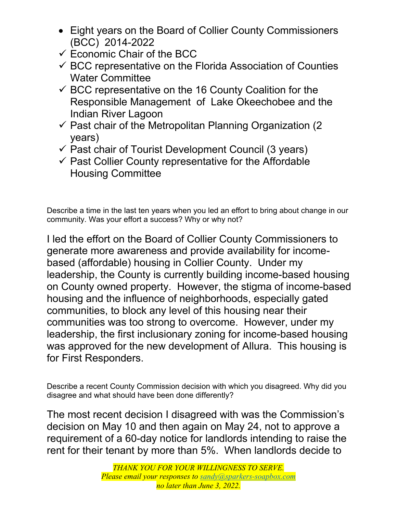- Eight years on the Board of Collier County Commissioners (BCC) 2014-2022
- $\checkmark$  Economic Chair of the BCC
- $\checkmark$  BCC representative on the Florida Association of Counties Water Committee
- $\checkmark$  BCC representative on the 16 County Coalition for the Responsible Management of Lake Okeechobee and the Indian River Lagoon
- $\checkmark$  Past chair of the Metropolitan Planning Organization (2) years)
- $\checkmark$  Past chair of Tourist Development Council (3 years)
- $\checkmark$  Past Collier County representative for the Affordable Housing Committee

Describe a time in the last ten years when you led an effort to bring about change in our community. Was your effort a success? Why or why not?

I led the effort on the Board of Collier County Commissioners to generate more awareness and provide availability for incomebased (affordable) housing in Collier County. Under my leadership, the County is currently building income-based housing on County owned property. However, the stigma of income-based housing and the influence of neighborhoods, especially gated communities, to block any level of this housing near their communities was too strong to overcome. However, under my leadership, the first inclusionary zoning for income-based housing was approved for the new development of Allura. This housing is for First Responders.

Describe a recent County Commission decision with which you disagreed. Why did you disagree and what should have been done differently?

The most recent decision I disagreed with was the Commission's decision on May 10 and then again on May 24, not to approve a requirement of a 60-day notice for landlords intending to raise the rent for their tenant by more than 5%. When landlords decide to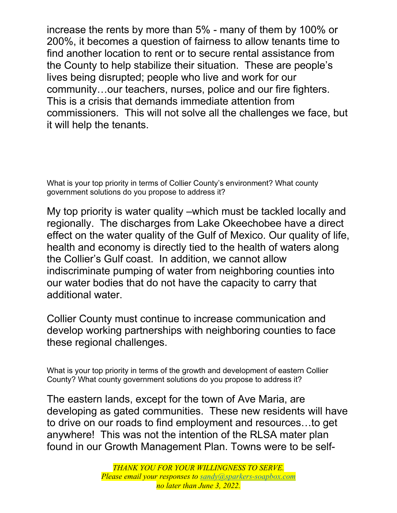increase the rents by more than 5% - many of them by 100% or 200%, it becomes a question of fairness to allow tenants time to find another location to rent or to secure rental assistance from the County to help stabilize their situation. These are people's lives being disrupted; people who live and work for our community…our teachers, nurses, police and our fire fighters. This is a crisis that demands immediate attention from commissioners. This will not solve all the challenges we face, but it will help the tenants.

What is your top priority in terms of Collier County's environment? What county government solutions do you propose to address it?

My top priority is water quality –which must be tackled locally and regionally. The discharges from Lake Okeechobee have a direct effect on the water quality of the Gulf of Mexico. Our quality of life, health and economy is directly tied to the health of waters along the Collier's Gulf coast. In addition, we cannot allow indiscriminate pumping of water from neighboring counties into our water bodies that do not have the capacity to carry that additional water.

Collier County must continue to increase communication and develop working partnerships with neighboring counties to face these regional challenges.

What is your top priority in terms of the growth and development of eastern Collier County? What county government solutions do you propose to address it?

The eastern lands, except for the town of Ave Maria, are developing as gated communities. These new residents will have to drive on our roads to find employment and resources…to get anywhere! This was not the intention of the RLSA mater plan found in our Growth Management Plan. Towns were to be self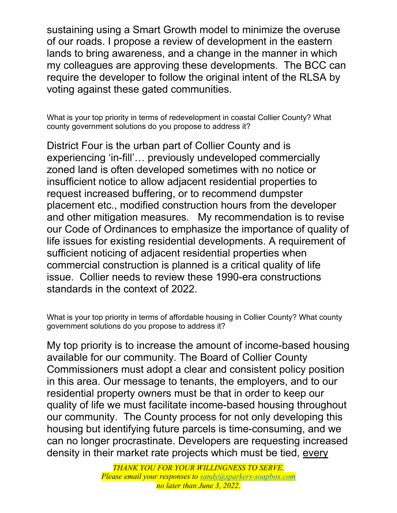sustaining using a Smart Growth model to minimize the overuse of our roads. I propose a review of development in the eastern lands to bring awareness, and a change in the manner in which my colleagues are approving these developments. The BCC can require the developer to follow the original intent of the RLSA by voting against these gated communities.

What is your top priority in terms of redevelopment in coastal Collier County? What county government solutions do you propose to address it?

District Four is the urban part of Collier County and is experiencing 'in-fill'… previously undeveloped commercially zoned land is often developed sometimes with no notice or insufficient notice to allow adjacent residential properties to request increased buffering, or to recommend dumpster placement etc., modified construction hours from the developer and other mitigation measures. My recommendation is to revise our Code of Ordinances to emphasize the importance of quality of life issues for existing residential developments. A requirement of sufficient noticing of adjacent residential properties when commercial construction is planned is a critical quality of life issue. Collier needs to review these 1990-era constructions standards in the context of 2022.

What is your top priority in terms of affordable housing in Collier County? What county government solutions do you propose to address it?

My top priority is to increase the amount of income-based housing available for our community. The Board of Collier County Commissioners must adopt a clear and consistent policy position in this area. Our message to tenants, the employers, and to our residential property owners must be that in order to keep our quality of life we must facilitate income-based housing throughout our community. The County process for not only developing this housing but identifying future parcels is time-consuming, and we can no longer procrastinate. Developers are requesting increased density in their market rate projects which must be tied, every